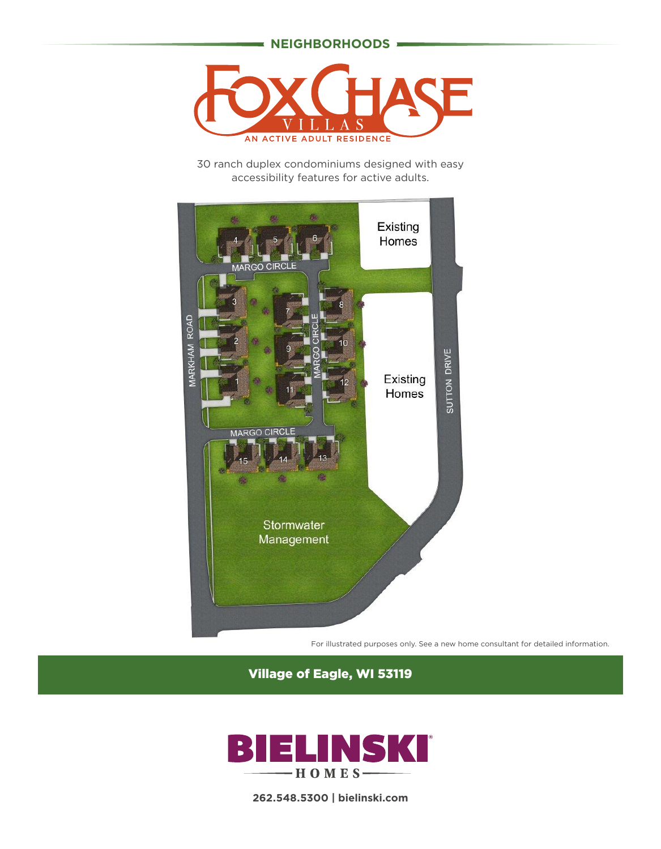#### **NEIGHBORHOODS**



30 ranch duplex condominiums designed with easy accessibility features for active adults.



For illustrated purposes only. See a new home consultant for detailed information.

Village of Eagle, WI 53119



**262.548.5300 | bielinski.com**